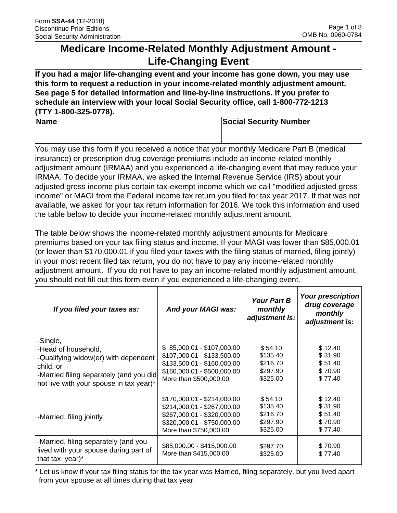# **Medicare Income-Related Monthly Adjustment Amount - Life-Changing Event**

**If you had a major life-changing event and your income has gone down, you may use this form to request a reduction in your income-related monthly adjustment amount. See page 5 for detailed information and line-by-line instructions. If you prefer to schedule an interview with your local Social Security office, call 1-800-772-1213 (TTY 1-800-325-0778).** 

**Name Social Security Number Number Social Security Number** 

You may use this form if you received a notice that your monthly Medicare Part B (medical insurance) or prescription drug coverage premiums include an income-related monthly adjustment amount (IRMAA) and you experienced a life-changing event that may reduce your IRMAA. To decide your IRMAA, we asked the Internal Revenue Service (IRS) about your adjusted gross income plus certain tax-exempt income which we call "modified adjusted gross income" or MAGI from the Federal income tax return you filed for tax year 2017. If that was not available, we asked for your tax return information for 2016. We took this information and used the table below to decide your income-related monthly adjustment amount.

The table below shows the income-related monthly adjustment amounts for Medicare premiums based on your tax filing status and income. If your MAGI was lower than \$85,000.01 (or lower than \$170,000.01 if you filed your taxes with the filing status of married, filing jointly) in your most recent filed tax return, you do not have to pay any income-related monthly adjustment amount. If you do not have to pay an income-related monthly adjustment amount, you should not fill out this form even if you experienced a life-changing event.

| If you filed your taxes as:                                                                                                                                                | And your MAGI was:                                                                                                                                 | <b>Your Part B</b><br>monthly<br>adjustment is:         | <b>Your prescription</b><br>drug coverage<br>monthly<br>adjustment is: |
|----------------------------------------------------------------------------------------------------------------------------------------------------------------------------|----------------------------------------------------------------------------------------------------------------------------------------------------|---------------------------------------------------------|------------------------------------------------------------------------|
| -Single,<br>-Head of household,<br>-Qualifying widow(er) with dependent<br>child, or<br>-Married filing separately (and you did<br>not live with your spouse in tax year)* | $$85,000.01 - $107,000.00$<br>\$107,000.01 - \$133,500.00<br>\$133,500.01 - \$160,000.00<br>\$160,000.01 - \$500,000.00<br>More than \$500,000.00  | \$54.10<br>\$135.40<br>\$216.70<br>\$297.90<br>\$325.00 | \$12.40<br>\$31.90<br>\$51.40<br>\$70.90<br>\$77.40                    |
| -Married, filing jointly                                                                                                                                                   | \$170,000.01 - \$214,000.00<br>\$214,000.01 - \$267,000.00<br>\$267,000.01 - \$320,000.00<br>\$320,000.01 - \$750,000.00<br>More than \$750,000.00 | \$54.10<br>\$135.40<br>\$216.70<br>\$297.90<br>\$325.00 | \$12.40<br>\$31.90<br>\$51.40<br>\$70.90<br>\$77.40                    |
| -Married, filing separately (and you<br>lived with your spouse during part of<br>that tax year)*                                                                           | \$85,000.00 - \$415,000.00<br>More than \$415,000.00                                                                                               | \$297.70<br>\$325.00                                    | \$70.90<br>\$77.40                                                     |

\* Let us know if your tax filing status for the tax year was Married, filing separately, but you lived apart from your spouse at all times during that tax year.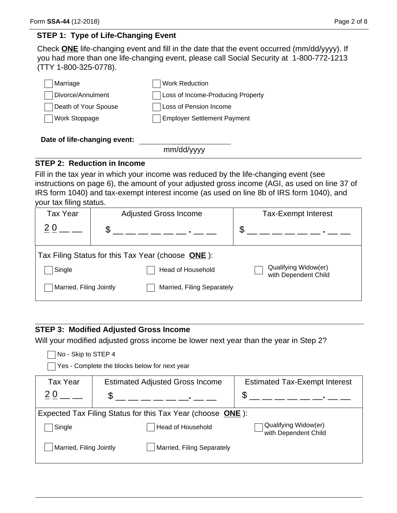### **STEP 1: Type of Life-Changing Event**

Check **ONE** life-changing event and fill in the date that the event occurred (mm/dd/yyyy). If you had more than one life-changing event, please call Social Security at 1-800-772-1213 (TTY 1-800-325-0778).

| Marriage             | Work Reduction                     |
|----------------------|------------------------------------|
| Divorce/Annulment    | Loss of Income-Producing Property  |
| Death of Your Spouse | Loss of Pension Income             |
| <b>Work Stoppage</b> | <b>Employer Settlement Payment</b> |

### **Date of life-changing event:**

mm/dd/yyyy

### **STEP 2: Reduction in Income**

Fill in the tax year in which your income was reduced by the life-changing event (see instructions on page 6), the amount of your adjusted gross income (AGI, as used on line 37 of IRS form 1040) and tax-exempt interest income (as used on line 8b of IRS form 1040), and your tax filing status.

| <b>Tax Year</b>         | <b>Adjusted Gross Income</b>                      | <b>Tax-Exempt Interest</b>                   |
|-------------------------|---------------------------------------------------|----------------------------------------------|
|                         | \$                                                | \$                                           |
|                         | Tax Filing Status for this Tax Year (choose ONE): |                                              |
| Single                  | Head of Household                                 | Qualifying Widow(er)<br>with Dependent Child |
| Married, Filing Jointly | Married, Filing Separately                        |                                              |

### **STEP 3: Modified Adjusted Gross Income**

Will your modified adjusted gross income be lower next year than the year in Step 2?

| No - Skip to STEP 4     |   | Yes - Complete the blocks below for next year              |                                              |
|-------------------------|---|------------------------------------------------------------|----------------------------------------------|
| <b>Tax Year</b>         |   | <b>Estimated Adjusted Gross Income</b>                     | <b>Estimated Tax-Exempt Interest</b>         |
| 20                      | S |                                                            | \$                                           |
|                         |   | Expected Tax Filing Status for this Tax Year (choose ONE): |                                              |
| Single                  |   | <b>Head of Household</b>                                   | Qualifying Widow(er)<br>with Dependent Child |
| Married, Filing Jointly |   | Married, Filing Separately                                 |                                              |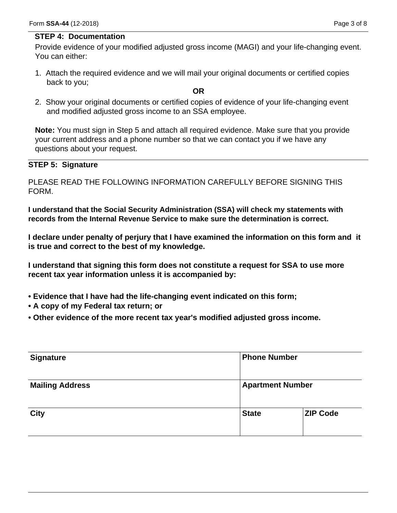#### **STEP 4: Documentation**

Provide evidence of your modified adjusted gross income (MAGI) and your life-changing event. You can either:

1. Attach the required evidence and we will mail your original documents or certified copies back to you;

#### **OR**

2. Show your original documents or certified copies of evidence of your life-changing event and modified adjusted gross income to an SSA employee.

**Note:** You must sign in Step 5 and attach all required evidence. Make sure that you provide your current address and a phone number so that we can contact you if we have any questions about your request.

### **STEP 5: Signature**

PLEASE READ THE FOLLOWING INFORMATION CAREFULLY BEFORE SIGNING THIS FORM.

**I understand that the Social Security Administration (SSA) will check my statements with records from the Internal Revenue Service to make sure the determination is correct.** 

**I declare under penalty of perjury that I have examined the information on this form and it is true and correct to the best of my knowledge.** 

**I understand that signing this form does not constitute a request for SSA to use more recent tax year information unless it is accompanied by:** 

- **Evidence that I have had the life-changing event indicated on this form;**
- **A copy of my Federal tax return; or**
- **Other evidence of the more recent tax year's modified adjusted gross income.**

|              | <b>Phone Number</b>     |  |
|--------------|-------------------------|--|
|              | <b>Apartment Number</b> |  |
| <b>State</b> | <b>ZIP Code</b>         |  |
|              |                         |  |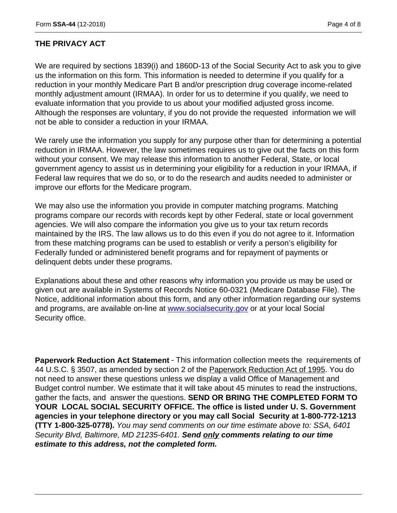### **THE PRIVACY ACT**

We are required by sections 1839(i) and 1860D-13 of the Social Security Act to ask you to give us the information on this form. This information is needed to determine if you qualify for a reduction in your monthly Medicare Part B and/or prescription drug coverage income-related monthly adjustment amount (IRMAA). In order for us to determine if you qualify, we need to evaluate information that you provide to us about your modified adjusted gross income. Although the responses are voluntary, if you do not provide the requested information we will not be able to consider a reduction in your IRMAA.

We rarely use the information you supply for any purpose other than for determining a potential reduction in IRMAA. However, the law sometimes requires us to give out the facts on this form without your consent. We may release this information to another Federal, State, or local government agency to assist us in determining your eligibility for a reduction in your IRMAA, if Federal law requires that we do so, or to do the research and audits needed to administer or improve our efforts for the Medicare program.

We may also use the information you provide in computer matching programs. Matching programs compare our records with records kept by other Federal, state or local government agencies. We will also compare the information you give us to your tax return records maintained by the IRS. The law allows us to do this even if you do not agree to it. Information from these matching programs can be used to establish or verify a person's eligibility for Federally funded or administered benefit programs and for repayment of payments or delinquent debts under these programs.

Explanations about these and other reasons why information you provide us may be used or given out are available in Systems of Records Notice 60-0321 (Medicare Database File). The Notice, additional information about this form, and any other information regarding our systems and programs, are available on-line at www.socialsecurity.gov or at your local Social Security office.

**Paperwork Reduction Act Statement** - This information collection meets the requirements of 44 U.S.C. § 3507, as amended by section 2 of the Paperwork Reduction Act of 1995. You do not need to answer these questions unless we display a valid Office of Management and Budget control number. We estimate that it will take about 45 minutes to read the instructions, gather the facts, and answer the questions. **SEND OR BRING THE COMPLETED FORM TO YOUR LOCAL SOCIAL SECURITY OFFICE. The office is listed under U. S. Government agencies in your telephone directory or you may call Social Security at 1-800-772-1213 (TTY 1-800-325-0778).** *You may send comments on our time estimate above to: SSA, 6401 Security Blvd, Baltimore, MD 21235-6401. Send only comments relating to our time estimate to this address, not the completed form.*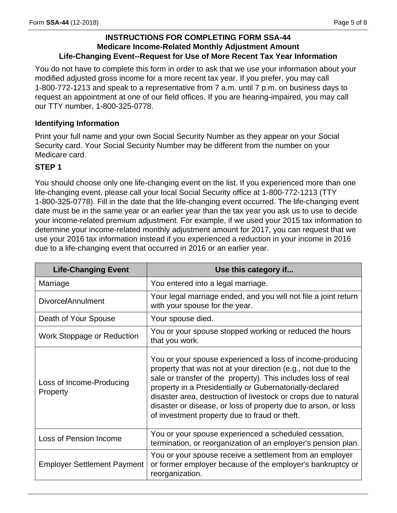### **INSTRUCTIONS FOR COMPLETING FORM SSA-44 Medicare Income-Related Monthly Adjustment Amount Life-Changing Event--Request for Use of More Recent Tax Year Information**

You do not have to complete this form in order to ask that we use your information about your modified adjusted gross income for a more recent tax year. If you prefer, you may call 1-800-772-1213 and speak to a representative from 7 a.m. until 7 p.m. on business days to request an appointment at one of our field offices. If you are hearing-impaired, you may call our TTY number, 1-800-325-0778.

### **Identifying Information**

Print your full name and your own Social Security Number as they appear on your Social Security card. Your Social Security Number may be different from the number on your Medicare card.

### **STEP 1**

You should choose only one life-changing event on the list. If you experienced more than one life-changing event, please call your local Social Security office at 1-800-772-1213 (TTY 1-800-325-0778). Fill in the date that the life-changing event occurred. The life-changing event date must be in the same year or an earlier year than the tax year you ask us to use to decide your income-related premium adjustment. For example, if we used your 2015 tax information to determine your income-related monthly adjustment amount for 2017, you can request that we use your 2016 tax information instead if you experienced a reduction in your income in 2016 due to a life-changing event that occurred in 2016 or an earlier year.

| <b>Life-Changing Event</b>           | Use this category if                                                                                                                                                                                                                                                                                                                                                                                                                          |
|--------------------------------------|-----------------------------------------------------------------------------------------------------------------------------------------------------------------------------------------------------------------------------------------------------------------------------------------------------------------------------------------------------------------------------------------------------------------------------------------------|
| Marriage                             | You entered into a legal marriage.                                                                                                                                                                                                                                                                                                                                                                                                            |
| Divorce/Annulment                    | Your legal marriage ended, and you will not file a joint return<br>with your spouse for the year.                                                                                                                                                                                                                                                                                                                                             |
| Death of Your Spouse                 | Your spouse died.                                                                                                                                                                                                                                                                                                                                                                                                                             |
| Work Stoppage or Reduction           | You or your spouse stopped working or reduced the hours<br>that you work.                                                                                                                                                                                                                                                                                                                                                                     |
| Loss of Income-Producing<br>Property | You or your spouse experienced a loss of income-producing<br>property that was not at your direction (e.g., not due to the<br>sale or transfer of the property). This includes loss of real<br>property in a Presidentially or Gubernatorially-declared<br>disaster area, destruction of livestock or crops due to natural<br>disaster or disease, or loss of property due to arson, or loss<br>of investment property due to fraud or theft. |
| Loss of Pension Income               | You or your spouse experienced a scheduled cessation,<br>termination, or reorganization of an employer's pension plan.                                                                                                                                                                                                                                                                                                                        |
| <b>Employer Settlement Payment</b>   | You or your spouse receive a settlement from an employer<br>or former employer because of the employer's bankruptcy or<br>reorganization.                                                                                                                                                                                                                                                                                                     |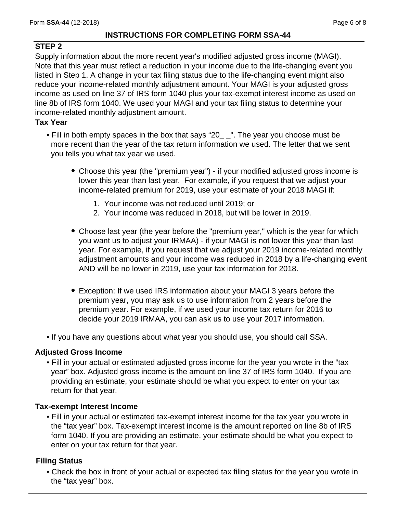### **INSTRUCTIONS FOR COMPLETING FORM SSA-44**

# **STEP 2**

Supply information about the more recent year's modified adjusted gross income (MAGI). Note that this year must reflect a reduction in your income due to the life-changing event you listed in Step 1. A change in your tax filing status due to the life-changing event might also reduce your income-related monthly adjustment amount. Your MAGI is your adjusted gross income as used on line 37 of IRS form 1040 plus your tax-exempt interest income as used on line 8b of IRS form 1040. We used your MAGI and your tax filing status to determine your income-related monthly adjustment amount.

# **Tax Year**

- Fill in both empty spaces in the box that says "20\_ \_". The year you choose must be more recent than the year of the tax return information we used. The letter that we sent you tells you what tax year we used.
	- Choose this year (the "premium year") if your modified adjusted gross income is lower this year than last year. For example, if you request that we adjust your income-related premium for 2019, use your estimate of your 2018 MAGI if:
		- 1. Your income was not reduced until 2019; or
		- 2. Your income was reduced in 2018, but will be lower in 2019.
	- Choose last year (the year before the "premium year," which is the year for which you want us to adjust your IRMAA) - if your MAGI is not lower this year than last year. For example, if you request that we adjust your 2019 income-related monthly adjustment amounts and your income was reduced in 2018 by a life-changing event AND will be no lower in 2019, use your tax information for 2018.
	- Exception: If we used IRS information about your MAGI 3 years before the premium year, you may ask us to use information from 2 years before the premium year. For example, if we used your income tax return for 2016 to decide your 2019 IRMAA, you can ask us to use your 2017 information.
- If you have any questions about what year you should use, you should call SSA.

### **Adjusted Gross Income**

• Fill in your actual or estimated adjusted gross income for the year you wrote in the "tax year" box. Adjusted gross income is the amount on line 37 of IRS form 1040. If you are providing an estimate, your estimate should be what you expect to enter on your tax return for that year.

### **Tax-exempt Interest Income**

• Fill in your actual or estimated tax-exempt interest income for the tax year you wrote in the "tax year" box. Tax-exempt interest income is the amount reported on line 8b of IRS form 1040. If you are providing an estimate, your estimate should be what you expect to enter on your tax return for that year.

# **Filing Status**

• Check the box in front of your actual or expected tax filing status for the year you wrote in the "tax year" box.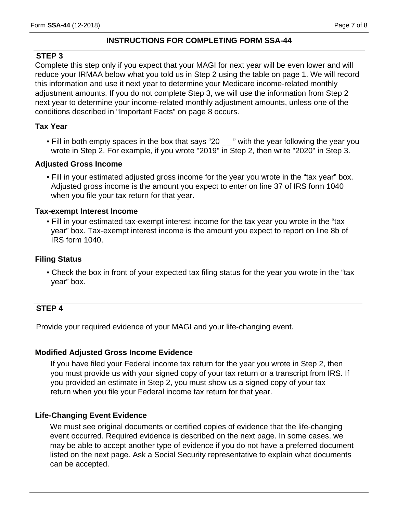### **INSTRUCTIONS FOR COMPLETING FORM SSA-44**

### **STEP 3**

Complete this step only if you expect that your MAGI for next year will be even lower and will reduce your IRMAA below what you told us in Step 2 using the table on page 1. We will record this information and use it next year to determine your Medicare income-related monthly adjustment amounts. If you do not complete Step 3, we will use the information from Step 2 next year to determine your income-related monthly adjustment amounts, unless one of the conditions described in "Important Facts" on page 8 occurs.

### **Tax Year**

• Fill in both empty spaces in the box that says "20  $\mu$ " with the year following the year you wrote in Step 2. For example, if you wrote "2019" in Step 2, then write "2020" in Step 3.

### **Adjusted Gross Income**

• Fill in your estimated adjusted gross income for the year you wrote in the "tax year" box. Adjusted gross income is the amount you expect to enter on line 37 of IRS form 1040 when you file your tax return for that year.

### **Tax-exempt Interest Income**

• Fill in your estimated tax-exempt interest income for the tax year you wrote in the "tax year" box. Tax-exempt interest income is the amount you expect to report on line 8b of IRS form 1040.

### **Filing Status**

• Check the box in front of your expected tax filing status for the year you wrote in the "tax year" box.

### **STEP 4**

Provide your required evidence of your MAGI and your life-changing event.

#### **Modified Adjusted Gross Income Evidence**

If you have filed your Federal income tax return for the year you wrote in Step 2, then you must provide us with your signed copy of your tax return or a transcript from IRS. If you provided an estimate in Step 2, you must show us a signed copy of your tax return when you file your Federal income tax return for that year.

#### **Life-Changing Event Evidence**

We must see original documents or certified copies of evidence that the life-changing event occurred. Required evidence is described on the next page. In some cases, we may be able to accept another type of evidence if you do not have a preferred document listed on the next page. Ask a Social Security representative to explain what documents can be accepted.